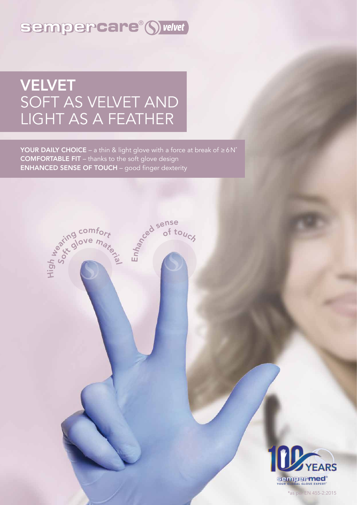### sempercare® S velvet

# VELVET SOFT AS VELVET AND LIGHT AS A FEATHER

YOUR DAILY CHOICE – a thin & light glove with a force at break of  $\geq 6N^*$ COMFORTABLE FIT – thanks to the soft glove design ENHANCED SENSE OF TOUCH – good finger dexterity





\*as per EN 455-2:2015